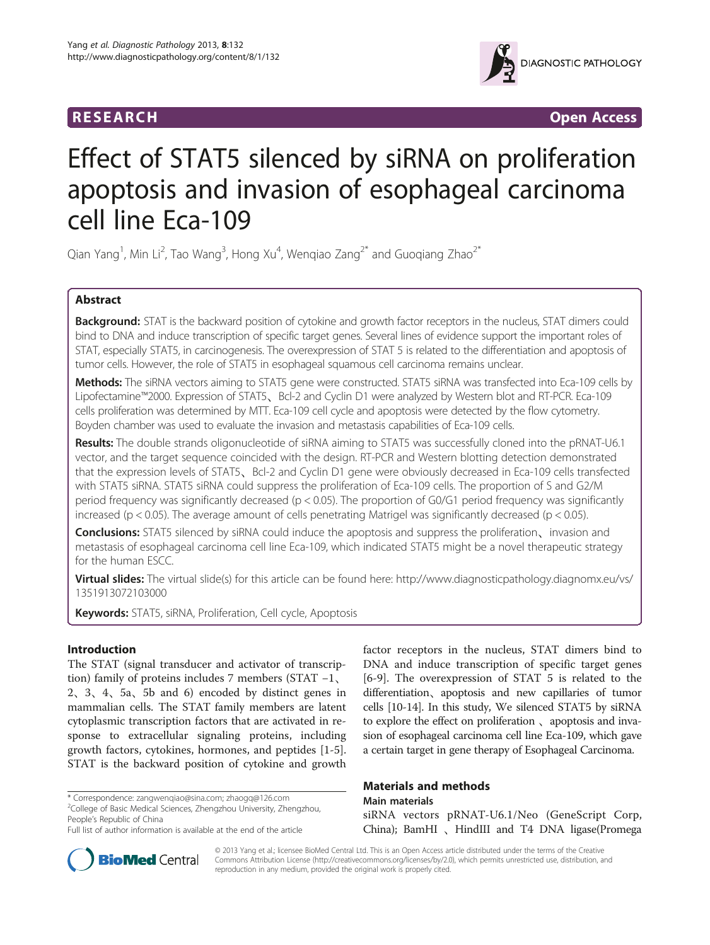# **RESEARCH RESEARCH** *CHECKER CHECKER CHECKER CHECKER CHECKER CHECKER CHECKER CHECKER CHECKER CHECKER CHECKER*



# Effect of STAT5 silenced by siRNA on proliferation apoptosis and invasion of esophageal carcinoma cell line Eca-109

Qian Yang<sup>1</sup>, Min Li<sup>2</sup>, Tao Wang<sup>3</sup>, Hong Xu<sup>4</sup>, Wenqiao Zang<sup>2\*</sup> and Guoqiang Zhao<sup>2\*</sup>

# Abstract

Background: STAT is the backward position of cytokine and growth factor receptors in the nucleus, STAT dimers could bind to DNA and induce transcription of specific target genes. Several lines of evidence support the important roles of STAT, especially STAT5, in carcinogenesis. The overexpression of STAT 5 is related to the differentiation and apoptosis of tumor cells. However, the role of STAT5 in esophageal squamous cell carcinoma remains unclear.

Methods: The siRNA vectors aiming to STAT5 gene were constructed. STAT5 siRNA was transfected into Eca-109 cells by Lipofectamine™2000. Expression of STAT5、Bcl-2 and Cyclin D1 were analyzed by Western blot and RT-PCR. Eca-109 cells proliferation was determined by MTT. Eca-109 cell cycle and apoptosis were detected by the flow cytometry. Boyden chamber was used to evaluate the invasion and metastasis capabilities of Eca-109 cells.

Results: The double strands oligonucleotide of siRNA aiming to STAT5 was successfully cloned into the pRNAT-U6.1 vector, and the target sequence coincided with the design. RT-PCR and Western blotting detection demonstrated that the expression levels of STAT5、Bcl-2 and Cyclin D1 gene were obviously decreased in Eca-109 cells transfected with STAT5 siRNA. STAT5 siRNA could suppress the proliferation of Eca-109 cells. The proportion of S and G2/M period frequency was significantly decreased (p < 0.05). The proportion of G0/G1 period frequency was significantly increased ( $p < 0.05$ ). The average amount of cells penetrating Matrigel was significantly decreased ( $p < 0.05$ ).

**Conclusions:** STAT5 silenced by siRNA could induce the apoptosis and suppress the proliferation, invasion and metastasis of esophageal carcinoma cell line Eca-109, which indicated STAT5 might be a novel therapeutic strategy for the human ESCC.

Virtual slides: The virtual slide(s) for this article can be found here: [http://www.diagnosticpathology.diagnomx.eu/vs/](http://www.diagnosticpathology.diagnomx.eu/vs/1351913072103000) [1351913072103000](http://www.diagnosticpathology.diagnomx.eu/vs/1351913072103000)

**Keywords:** STAT5, siRNA, Proliferation, Cell cycle, Apoptosis

# Introduction

The STAT (signal transducer and activator of transcription) family of proteins includes 7 members (STAT −1、 2、3、4、5a、5b and 6) encoded by distinct genes in mammalian cells. The STAT family members are latent cytoplasmic transcription factors that are activated in response to extracellular signaling proteins, including growth factors, cytokines, hormones, and peptides [[1-5](#page-4-0)]. STAT is the backward position of cytokine and growth

\* Correspondence: [zangwenqiao@sina.com;](mailto:zangwenqiao@sina.com) [zhaogq@126.com](mailto:zhaogq@126.com) <sup>2</sup>

<sup>2</sup>College of Basic Medical Sciences, Zhengzhou University, Zhengzhou, People's Republic of China

factor receptors in the nucleus, STAT dimers bind to DNA and induce transcription of specific target genes [[6-9](#page-4-0)]. The overexpression of STAT 5 is related to the differentiation、apoptosis and new capillaries of tumor cells [\[10-14\]](#page-4-0). In this study, We silenced STAT5 by siRNA to explore the effect on proliferation 、apoptosis and invasion of esophageal carcinoma cell line Eca-109, which gave a certain target in gene therapy of Esophageal Carcinoma.

# Materials and methods Main materials

siRNA vectors pRNAT-U6.1/Neo (GeneScript Corp, China); BamHI 、HindIII and T4 DNA ligase(Promega



© 2013 Yang et al.; licensee BioMed Central Ltd. This is an Open Access article distributed under the terms of the Creative Commons Attribution License [\(http://creativecommons.org/licenses/by/2.0\)](http://creativecommons.org/licenses/by/2.0), which permits unrestricted use, distribution, and reproduction in any medium, provided the original work is properly cited.

Full list of author information is available at the end of the article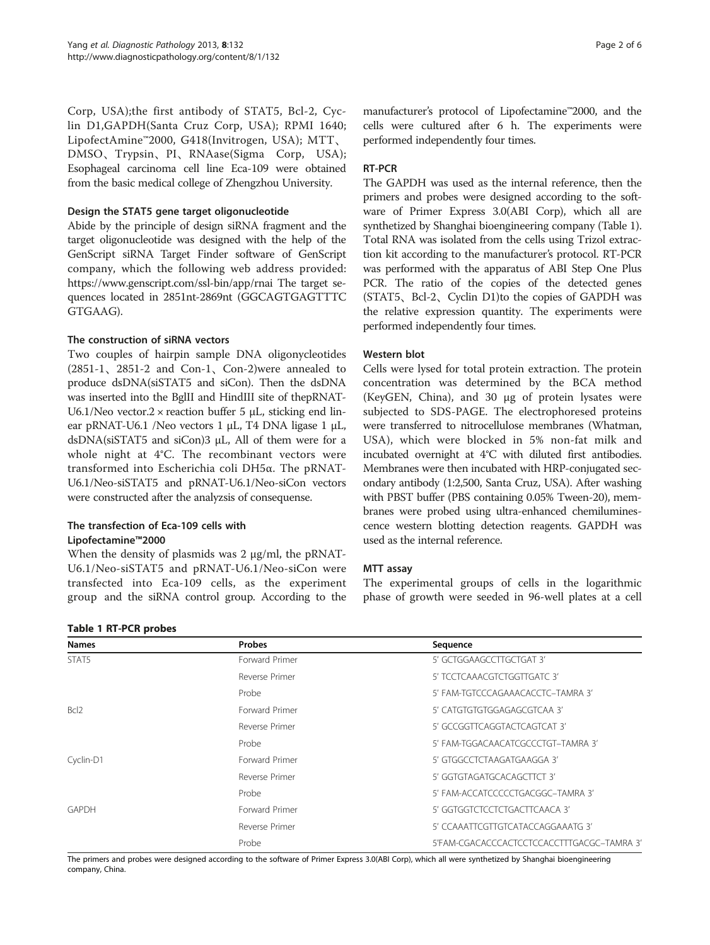<span id="page-1-0"></span>Corp, USA);the first antibody of STAT5, Bcl-2, Cyclin D1,GAPDH(Santa Cruz Corp, USA); RPMI 1640; LipofectAmine™2000, G418(Invitrogen, USA); MTT、 DMSO、Trypsin、PI、RNAase(Sigma Corp, USA); Esophageal carcinoma cell line Eca-109 were obtained from the basic medical college of Zhengzhou University.

#### Design the STAT5 gene target oligonucleotide

Abide by the principle of design siRNA fragment and the target oligonucleotide was designed with the help of the GenScript siRNA Target Finder software of GenScript company, which the following web address provided: <https://www.genscript.com/ssl-bin/app/rnai> The target sequences located in 2851nt-2869nt (GGCAGTGAGTTTC GTGAAG).

#### The construction of siRNA vectors

Two couples of hairpin sample DNA oligonycleotides (2851-1、2851-2 and Con-1、Con-2)were annealed to produce dsDNA(siSTAT5 and siCon). Then the dsDNA was inserted into the BglII and HindIII site of thepRNAT-U6.1/Neo vector.2  $\times$  reaction buffer 5  $\mu$ L, sticking end linear pRNAT-U6.1 /Neo vectors 1 μL, T4 DNA ligase 1 μL, dsDNA(siSTAT5 and siCon)3 μL, All of them were for a whole night at 4°C. The recombinant vectors were transformed into Escherichia coli DH5α. The pRNAT-U6.1/Neo-siSTAT5 and pRNAT-U6.1/Neo-siCon vectors were constructed after the analyzsis of consequense.

#### The transfection of Eca-109 cells with Lipofectamine™2000

Table 1 RT-PCR probes

When the density of plasmids was 2 μg/ml, the pRNAT-U6.1/Neo-siSTAT5 and pRNAT-U6.1/Neo-siCon were transfected into Eca-109 cells, as the experiment group and the siRNA control group. According to the

manufacturer's protocol of Lipofectamine™2000, and the cells were cultured after 6 h. The experiments were performed independently four times.

### RT-PCR

The GAPDH was used as the internal reference, then the primers and probes were designed according to the software of Primer Express 3.0(ABI Corp), which all are synthetized by Shanghai bioengineering company (Table 1). Total RNA was isolated from the cells using Trizol extraction kit according to the manufacturer's protocol. RT-PCR was performed with the apparatus of ABI Step One Plus PCR. The ratio of the copies of the detected genes (STAT5、Bcl-2、Cyclin D1)to the copies of GAPDH was the relative expression quantity. The experiments were performed independently four times.

### Western blot

Cells were lysed for total protein extraction. The protein concentration was determined by the BCA method (KeyGEN, China), and 30 μg of protein lysates were subjected to SDS-PAGE. The electrophoresed proteins were transferred to nitrocellulose membranes (Whatman, USA), which were blocked in 5% non-fat milk and incubated overnight at 4°C with diluted first antibodies. Membranes were then incubated with HRP-conjugated secondary antibody (1:2,500, Santa Cruz, USA). After washing with PBST buffer (PBS containing 0.05% Tween-20), membranes were probed using ultra-enhanced chemiluminescence western blotting detection reagents. GAPDH was used as the internal reference.

### MTT assay

The experimental groups of cells in the logarithmic phase of growth were seeded in 96-well plates at a cell

| <b>Names</b>     | <b>Probes</b>  | Sequence                                   |
|------------------|----------------|--------------------------------------------|
| STAT5            | Forward Primer | 5' GCTGGAAGCCTTGCTGAT 3'                   |
|                  | Reverse Primer | 5' TCCTCAAACGTCTGGTTGATC 3'                |
|                  | Probe          | 5' FAM-TGTCCCAGAAACACCTC-TAMRA 3'          |
| Bcl <sub>2</sub> | Forward Primer | 5' CATGTGTGTGGAGAGCGTCAA 3'                |
|                  | Reverse Primer | 5' GCCGGTTCAGGTACTCAGTCAT 3'               |
|                  | Probe          | 5' FAM-TGGACAACATCGCCCTGT-TAMRA 3'         |
| Cyclin-D1        | Forward Primer | 5' GTGGCCTCTAAGATGAAGGA 3'                 |
|                  | Reverse Primer | 5' GGTGTAGATGCACAGCTTCT 3'                 |
|                  | Probe          | 5' FAM-ACCATCCCCCTGACGGC-TAMRA 3'          |
| <b>GAPDH</b>     | Forward Primer | 5' GGTGGTCTCCTCTGACTTCAACA 3'              |
|                  | Reverse Primer | 5' CCAAATTCGTTGTCATACCAGGAAATG 3'          |
|                  | Probe          | 5'FAM-CGACACCCACTCCTCCACCTTTGACGC-TAMRA 3' |

The primers and probes were designed according to the software of Primer Express 3.0(ABI Corp), which all were synthetized by Shanghai bioengineering company, China.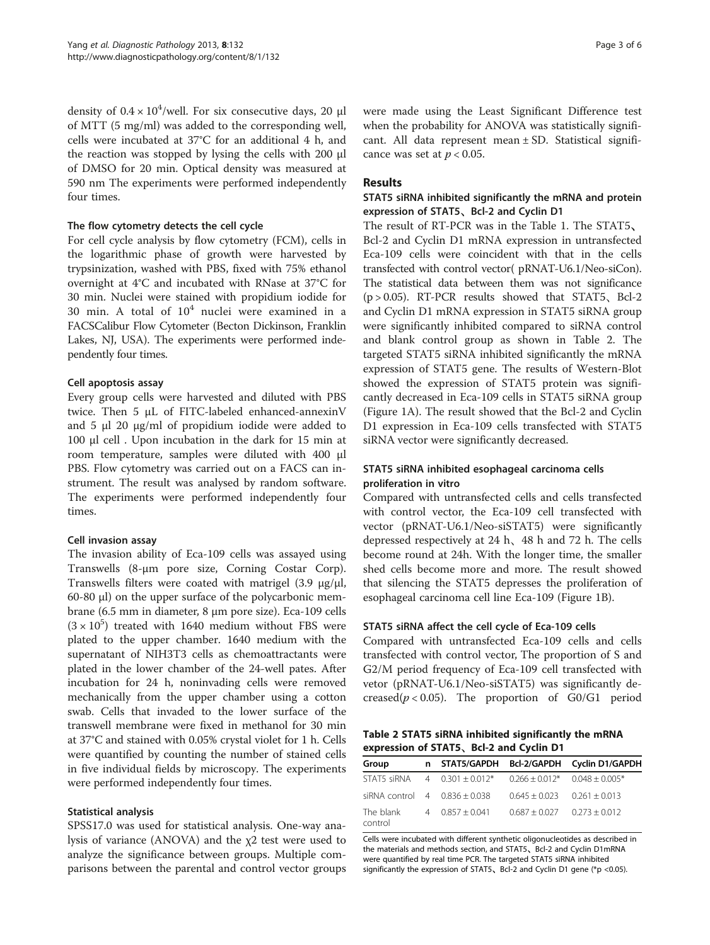density of  $0.4 \times 10^4$ /well. For six consecutive days, 20  $\mu$ l of MTT (5 mg/ml) was added to the corresponding well, cells were incubated at 37°C for an additional 4 h, and the reaction was stopped by lysing the cells with 200 μl of DMSO for 20 min. Optical density was measured at 590 nm The experiments were performed independently four times.

#### The flow cytometry detects the cell cycle

For cell cycle analysis by flow cytometry (FCM), cells in the logarithmic phase of growth were harvested by trypsinization, washed with PBS, fixed with 75% ethanol overnight at 4°C and incubated with RNase at 37°C for 30 min. Nuclei were stained with propidium iodide for 30 min. A total of  $10<sup>4</sup>$  nuclei were examined in a FACSCalibur Flow Cytometer (Becton Dickinson, Franklin Lakes, NJ, USA). The experiments were performed independently four times.

### Cell apoptosis assay

Every group cells were harvested and diluted with PBS twice. Then 5 μL of FITC-labeled enhanced-annexinV and 5 μl 20 μg/ml of propidium iodide were added to 100 μl cell . Upon incubation in the dark for 15 min at room temperature, samples were diluted with 400 μl PBS. Flow cytometry was carried out on a FACS can instrument. The result was analysed by random software. The experiments were performed independently four times.

### Cell invasion assay

The invasion ability of Eca-109 cells was assayed using Transwells (8-μm pore size, Corning Costar Corp). Transwells filters were coated with matrigel  $(3.9 \mu g/\mu l)$ , 60-80 μl) on the upper surface of the polycarbonic membrane (6.5 mm in diameter, 8 μm pore size). Eca-109 cells  $(3 \times 10^5)$  treated with 1640 medium without FBS were plated to the upper chamber. 1640 medium with the supernatant of NIH3T3 cells as chemoattractants were plated in the lower chamber of the 24-well pates. After incubation for 24 h, noninvading cells were removed mechanically from the upper chamber using a cotton swab. Cells that invaded to the lower surface of the transwell membrane were fixed in methanol for 30 min at 37°C and stained with 0.05% crystal violet for 1 h. Cells were quantified by counting the number of stained cells in five individual fields by microscopy. The experiments were performed independently four times.

### Statistical analysis

SPSS17.0 was used for statistical analysis. One-way analysis of variance (ANOVA) and the χ2 test were used to analyze the significance between groups. Multiple comparisons between the parental and control vector groups

### Results

## STAT5 siRNA inhibited significantly the mRNA and protein expression of STAT5、Bcl-2 and Cyclin D1

The result of RT-PCR was in the Table [1](#page-1-0). The STAT5、 Bcl-2 and Cyclin D1 mRNA expression in untransfected Eca-109 cells were coincident with that in the cells transfected with control vector( pRNAT-U6.1/Neo-siCon). The statistical data between them was not significance (p > 0.05). RT-PCR results showed that STAT5、Bcl-2 and Cyclin D1 mRNA expression in STAT5 siRNA group were significantly inhibited compared to siRNA control and blank control group as shown in Table 2. The targeted STAT5 siRNA inhibited significantly the mRNA expression of STAT5 gene. The results of Western-Blot showed the expression of STAT5 protein was significantly decreased in Eca-109 cells in STAT5 siRNA group (Figure [1A](#page-3-0)). The result showed that the Bcl-2 and Cyclin D1 expression in Eca-109 cells transfected with STAT5 siRNA vector were significantly decreased.

# STAT5 siRNA inhibited esophageal carcinoma cells proliferation in vitro

Compared with untransfected cells and cells transfected with control vector, the Eca-109 cell transfected with vector (pRNAT-U6.1/Neo-siSTAT5) were significantly depressed respectively at 24 h、48 h and 72 h. The cells become round at 24h. With the longer time, the smaller shed cells become more and more. The result showed that silencing the STAT5 depresses the proliferation of esophageal carcinoma cell line Eca-109 (Figure [1B](#page-3-0)).

### STAT5 siRNA affect the cell cycle of Eca-109 cells

Compared with untransfected Eca-109 cells and cells transfected with control vector, The proportion of S and G2/M period frequency of Eca-109 cell transfected with vetor (pRNAT-U6.1/Neo-siSTAT5) was significantly decreased( $p < 0.05$ ). The proportion of G0/G1 period

Table 2 STAT5 siRNA inhibited significantly the mRNA expression of STAT5、Bcl-2 and Cyclin D1

| Group                             |                                                              |                                 | n STAT5/GAPDH Bcl-2/GAPDH Cyclin D1/GAPDH |
|-----------------------------------|--------------------------------------------------------------|---------------------------------|-------------------------------------------|
|                                   | STAT5 siRNA $4$ 0.301 + 0.012* 0.266 + 0.012* 0.048 + 0.005* |                                 |                                           |
| $s$ iRNA control $40.836 + 0.038$ |                                                              | $0.645 + 0.023$ $0.261 + 0.013$ |                                           |
| The blank<br>control              | $40.857 + 0.041$                                             | $0.687 + 0.027$ $0.273 + 0.012$ |                                           |

Cells were incubated with different synthetic oligonucleotides as described in the materials and methods section, and STAT5、Bcl-2 and Cyclin D1mRNA were quantified by real time PCR. The targeted STAT5 siRNA inhibited significantly the expression of STAT5、Bcl-2 and Cyclin D1 gene (\*p <0.05).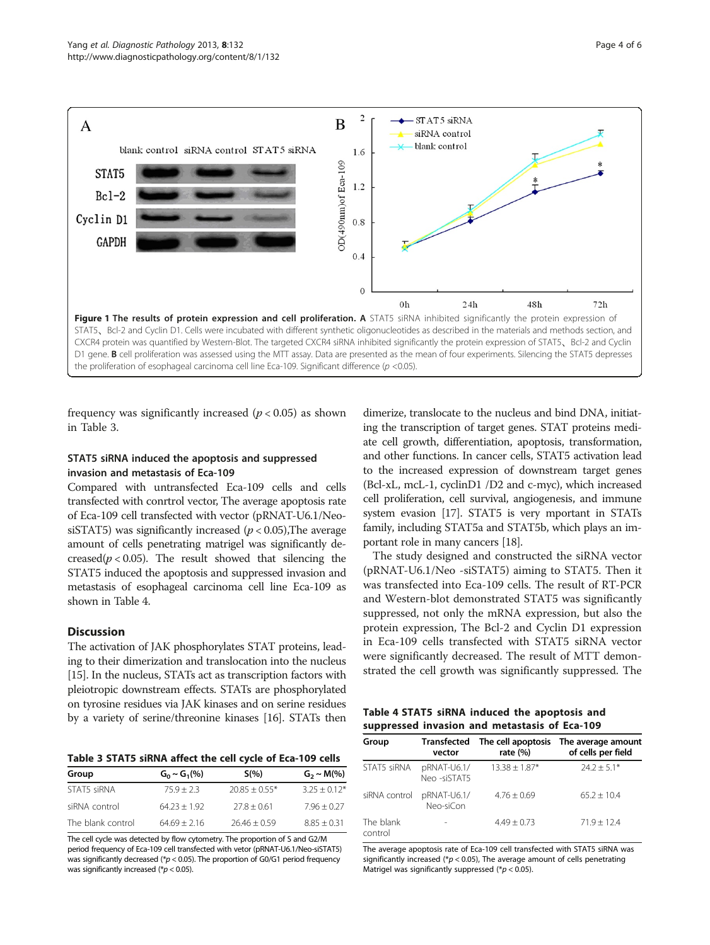

<span id="page-3-0"></span>

frequency was significantly increased ( $p < 0.05$ ) as shown in Table 3.

### STAT5 siRNA induced the apoptosis and suppressed invasion and metastasis of Eca-109

Compared with untransfected Eca-109 cells and cells transfected with conrtrol vector, The average apoptosis rate of Eca-109 cell transfected with vector (pRNAT-U6.1/NeosiSTAT5) was significantly increased ( $p < 0.05$ ), The average amount of cells penetrating matrigel was significantly decreased( $p < 0.05$ ). The result showed that silencing the STAT5 induced the apoptosis and suppressed invasion and metastasis of esophageal carcinoma cell line Eca-109 as shown in Table 4.

#### **Discussion**

The activation of JAK phosphorylates STAT proteins, leading to their dimerization and translocation into the nucleus [[15](#page-4-0)]. In the nucleus, STATs act as transcription factors with pleiotropic downstream effects. STATs are phosphorylated on tyrosine residues via JAK kinases and on serine residues by a variety of serine/threonine kinases [\[16\]](#page-4-0). STATs then

Table 3 STAT5 siRNA affect the cell cycle of Eca-109 cells

| Group             | $G_0 \sim G_1(\%)$ | $S(\% )$        | $G_2 \sim M(\%)$ |
|-------------------|--------------------|-----------------|------------------|
| STAT5 siRNA       | $75.9 + 2.3$       | $20.85 + 0.55*$ | $3.25 + 0.12*$   |
| siRNA control     | $64.23 + 1.92$     | $27.8 + 0.61$   | $7.96 + 0.27$    |
| The blank control | $64.69 + 2.16$     | $26.46 + 0.59$  | $8.85 + 0.31$    |

The cell cycle was detected by flow cytometry. The proportion of S and G2/M period frequency of Eca-109 cell transfected with vetor (pRNAT-U6.1/Neo-siSTAT5) was significantly decreased ( $p$  < 0.05). The proportion of G0/G1 period frequency was significantly increased ( $p < 0.05$ ).

dimerize, translocate to the nucleus and bind DNA, initiating the transcription of target genes. STAT proteins mediate cell growth, differentiation, apoptosis, transformation, and other functions. In cancer cells, STAT5 activation lead to the increased expression of downstream target genes (Bcl-xL, mcL-1, cyclinD1 /D2 and c-myc), which increased cell proliferation, cell survival, angiogenesis, and immune system evasion [[17](#page-4-0)]. STAT5 is very mportant in STATs family, including STAT5a and STAT5b, which plays an important role in many cancers [\[18\]](#page-4-0).

The study designed and constructed the siRNA vector (pRNAT-U6.1/Neo -siSTAT5) aiming to STAT5. Then it was transfected into Eca-109 cells. The result of RT-PCR and Western-blot demonstrated STAT5 was significantly suppressed, not only the mRNA expression, but also the protein expression, The Bcl-2 and Cyclin D1 expression in Eca-109 cells transfected with STAT5 siRNA vector were significantly decreased. The result of MTT demonstrated the cell growth was significantly suppressed. The

| Table 4 STAT5 siRNA induced the apoptosis and |  |  |
|-----------------------------------------------|--|--|
| suppressed invasion and metastasis of Eca-109 |  |  |

| Group                | vector                     | Transfected The cell apoptosis<br>rate $(%)$ | The average amount<br>of cells per field |
|----------------------|----------------------------|----------------------------------------------|------------------------------------------|
| STAT5 siRNA          | pRNAT-U6.1/<br>Neo-siSTAT5 | $13.38 \pm 1.87*$                            | $74.7 + 5.1*$                            |
| siRNA control        | pRNAT-U6.1/<br>Neo-siCon   | $4.76 \pm 0.69$                              | $65.2 + 10.4$                            |
| The blank<br>control |                            | $4.49 + 0.73$                                | $71.9 + 12.4$                            |

The average apoptosis rate of Eca-109 cell transfected with STAT5 siRNA was significantly increased (\* $p$  < 0.05), The average amount of cells penetrating Matrigel was significantly suppressed ( $p < 0.05$ ).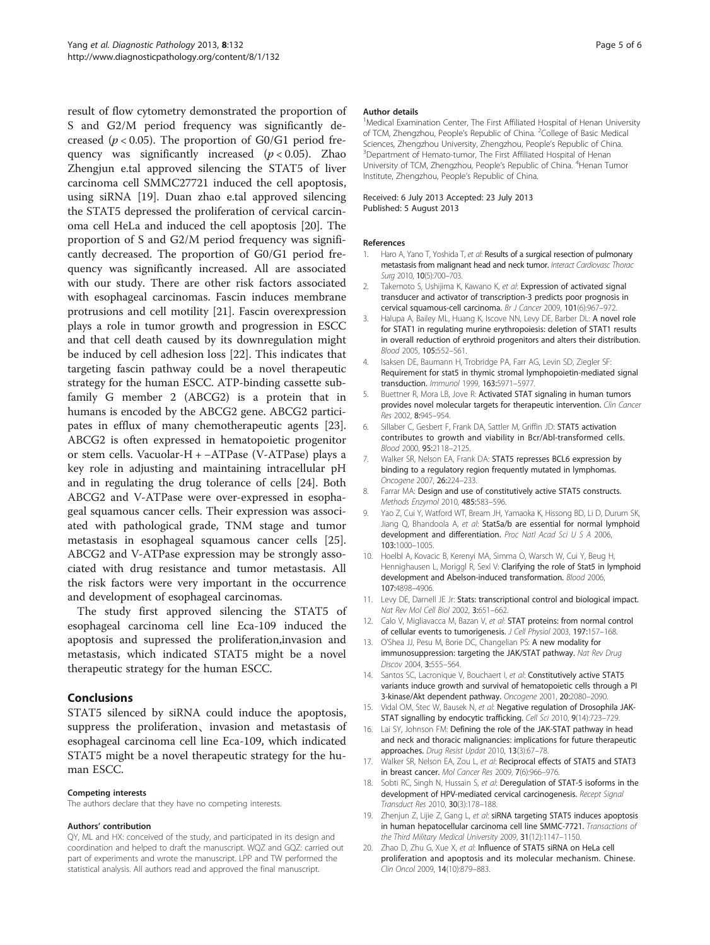<span id="page-4-0"></span>result of flow cytometry demonstrated the proportion of S and G2/M period frequency was significantly decreased ( $p < 0.05$ ). The proportion of G0/G1 period frequency was significantly increased  $(p < 0.05)$ . Zhao Zhengjun e.tal approved silencing the STAT5 of liver carcinoma cell SMMC27721 induced the cell apoptosis, using siRNA [19]. Duan zhao e.tal approved silencing the STAT5 depressed the proliferation of cervical carcinoma cell HeLa and induced the cell apoptosis [20]. The proportion of S and G2/M period frequency was significantly decreased. The proportion of G0/G1 period frequency was significantly increased. All are associated with our study. There are other risk factors associated with esophageal carcinomas. Fascin induces membrane protrusions and cell motility [[21\]](#page-5-0). Fascin overexpression plays a role in tumor growth and progression in ESCC and that cell death caused by its downregulation might be induced by cell adhesion loss [[22\]](#page-5-0). This indicates that targeting fascin pathway could be a novel therapeutic strategy for the human ESCC. ATP-binding cassette subfamily G member 2 (ABCG2) is a protein that in humans is encoded by the ABCG2 gene. ABCG2 participates in efflux of many chemotherapeutic agents [\[23](#page-5-0)]. ABCG2 is often expressed in hematopoietic progenitor or stem cells. Vacuolar-H + −ATPase (V-ATPase) plays a key role in adjusting and maintaining intracellular pH and in regulating the drug tolerance of cells [[24\]](#page-5-0). Both ABCG2 and V-ATPase were over-expressed in esophageal squamous cancer cells. Their expression was associated with pathological grade, TNM stage and tumor metastasis in esophageal squamous cancer cells [\[25](#page-5-0)]. ABCG2 and V-ATPase expression may be strongly associated with drug resistance and tumor metastasis. All the risk factors were very important in the occurrence and development of esophageal carcinomas.

The study first approved silencing the STAT5 of esophageal carcinoma cell line Eca-109 induced the apoptosis and supressed the proliferation,invasion and metastasis, which indicated STAT5 might be a novel therapeutic strategy for the human ESCC.

### Conclusions

STAT5 silenced by siRNA could induce the apoptosis, suppress the proliferation、invasion and metastasis of esophageal carcinoma cell line Eca-109, which indicated STAT5 might be a novel therapeutic strategy for the human ESCC.

#### Competing interests

The authors declare that they have no competing interests.

#### Authors' contribution

QY, ML and HX: conceived of the study, and participated in its design and coordination and helped to draft the manuscript. WQZ and GQZ: carried out part of experiments and wrote the manuscript. LPP and TW performed the statistical analysis. All authors read and approved the final manuscript.

#### Author details

<sup>1</sup>Medical Examination Center, The First Affiliated Hospital of Henan University of TCM, Zhengzhou, People's Republic of China. <sup>2</sup>College of Basic Medical Sciences, Zhengzhou University, Zhengzhou, People's Republic of China. <sup>3</sup> Department of Hemato-tumor, The First Affiliated Hospital of Henan University of TCM, Zhengzhou, People's Republic of China. <sup>4</sup>Henan Tumor Institute, Zhengzhou, People's Republic of China.

#### Received: 6 July 2013 Accepted: 23 July 2013 Published: 5 August 2013

#### References

- 1. Haro A, Yano T, Yoshida T, et al: Results of a surgical resection of pulmonary metastasis from malignant head and neck tumor. Interact Cardiovasc Thorac Surg 2010, 10(5):700–703.
- 2. Takemoto S, Ushijima K, Kawano K, et al: Expression of activated signal transducer and activator of transcription-3 predicts poor prognosis in cervical squamous-cell carcinoma. Br J Cancer 2009, 101(6):967–972.
- 3. Halupa A, Bailey ML, Huang K, Iscove NN, Levy DE, Barber DL: A novel role for STAT1 in regulating murine erythropoiesis: deletion of STAT1 results in overall reduction of erythroid progenitors and alters their distribution. Blood 2005, 105:552–561.
- 4. Isaksen DE, Baumann H, Trobridge PA, Farr AG, Levin SD, Ziegler SF: Requirement for stat5 in thymic stromal lymphopoietin-mediated signal transduction. Immunol 1999, 163:5971–5977.
- 5. Buettner R, Mora LB, Jove R: Activated STAT signaling in human tumors provides novel molecular targets for therapeutic intervention. Clin Cancer Res 2002, 8:945–954.
- 6. Sillaber C, Gesbert F, Frank DA, Sattler M, Griffin JD: STAT5 activation contributes to growth and viability in Bcr/Abl-transformed cells. Blood 2000, 95:2118–2125.
- 7. Walker SR, Nelson EA, Frank DA: STAT5 represses BCL6 expression by binding to a regulatory region frequently mutated in lymphomas. Oncogene 2007, 26:224–233.
- 8. Farrar MA: Design and use of constitutively active STAT5 constructs. Methods Enzymol 2010, 485:583–596.
- 9. Yao Z, Cui Y, Watford WT, Bream JH, Yamaoka K, Hissong BD, Li D, Durum SK, Jiang Q, Bhandoola A, et al: Stat5a/b are essential for normal lymphoid development and differentiation. Proc Natl Acad Sci U S A 2006, 103:1000–1005.
- 10. Hoelbl A, Kovacic B, Kerenyi MA, Simma O, Warsch W, Cui Y, Beug H, Hennighausen L, Moriggl R, Sexl V: Clarifying the role of Stat5 in lymphoid development and Abelson-induced transformation. Blood 2006, 107:4898–4906.
- 11. Levy DE, Darnell JE Jr: Stats: transcriptional control and biological impact. Nat Rev Mol Cell Biol 2002, 3:651-662.
- 12. Calo V, Migliavacca M, Bazan V, et al: STAT proteins: from normal control of cellular events to tumorigenesis. J Cell Physiol 2003, 197:157–168.
- 13. O'Shea JJ, Pesu M, Borie DC, Changelian PS: A new modality for immunosuppression: targeting the JAK/STAT pathway. Nat Rev Drug Discov 2004, 3:555–564.
- 14. Santos SC, Lacronique V, Bouchaert I, et al: Constitutively active STAT5 variants induce growth and survival of hematopoietic cells through a PI 3-kinase/Akt dependent pathway. Oncogene 2001, 20:2080–2090.
- 15. Vidal OM, Stec W, Bausek N, et al: Negative regulation of Drosophila JAK-STAT signalling by endocytic trafficking. Cell Sci 2010, 9(14):723–729.
- 16. Lai SY, Johnson FM: Defining the role of the JAK-STAT pathway in head and neck and thoracic malignancies: implications for future therapeutic approaches. Drug Resist Updat 2010, 13(3):67–78.
- 17. Walker SR, Nelson EA, Zou L, et al: Reciprocal effects of STAT5 and STAT3 in breast cancer. Mol Cancer Res 2009, 7(6):966–976.
- 18. Sobti RC, Singh N, Hussain S, et al: Deregulation of STAT-5 isoforms in the development of HPV-mediated cervical carcinogenesis. Recept Signal Transduct Res 2010, 30(3):178–188.
- 19. Zhenjun Z, Lijie Z, Gang L, et al: siRNA targeting STAT5 induces apoptosis in human hepatocellular carcinoma cell line SMMC-7721. Transactions of the Third Military Medical University 2009, 31(12):1147–1150.
- 20. Zhao D, Zhu G, Xue X, et al: Influence of STAT5 siRNA on HeLa cell proliferation and apoptosis and its molecular mechanism. Chinese. Clin Oncol 2009, 14(10):879–883.